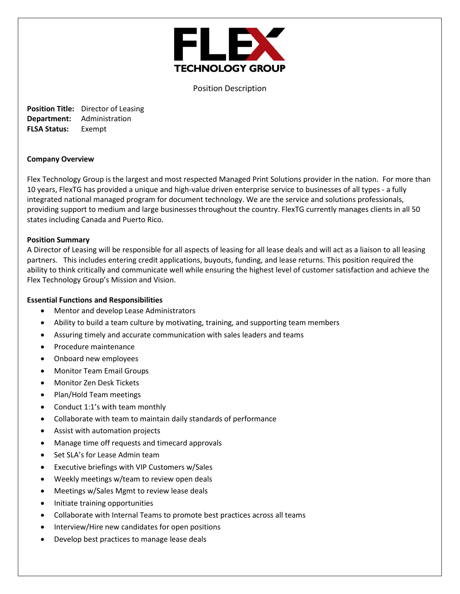

Position Description

**Position Title:** Director of Leasing **Department:** Administration **FLSA Status:** Exempt

#### **Company Overview**

Flex Technology Group is the largest and most respected Managed Print Solutions provider in the nation. For more than 10 years, FlexTG has provided a unique and high-value driven enterprise service to businesses of all types - a fully integrated national managed program for document technology. We are the service and solutions professionals, providing support to medium and large businesses throughout the country. FlexTG currently manages clients in all 50 states including Canada and Puerto Rico.

#### **Position Summary**

A Director of Leasing will be responsible for all aspects of leasing for all lease deals and will act as a liaison to all leasing partners. This includes entering credit applications, buyouts, funding, and lease returns. This position required the ability to think critically and communicate well while ensuring the highest level of customer satisfaction and achieve the Flex Technology Group's Mission and Vision.

### **Essential Functions and Responsibilities**

- Mentor and develop Lease Administrators
- Ability to build a team culture by motivating, training, and supporting team members
- Assuring timely and accurate communication with sales leaders and teams
- Procedure maintenance
- Onboard new employees
- Monitor Team Email Groups
- Monitor Zen Desk Tickets
- Plan/Hold Team meetings
- Conduct 1:1's with team monthly
- Collaborate with team to maintain daily standards of performance
- Assist with automation projects
- Manage time off requests and timecard approvals
- Set SLA's for Lease Admin team
- Executive briefings with VIP Customers w/Sales
- Weekly meetings w/team to review open deals
- Meetings w/Sales Mgmt to review lease deals
- Initiate training opportunities
- Collaborate with Internal Teams to promote best practices across all teams
- Interview/Hire new candidates for open positions
- Develop best practices to manage lease deals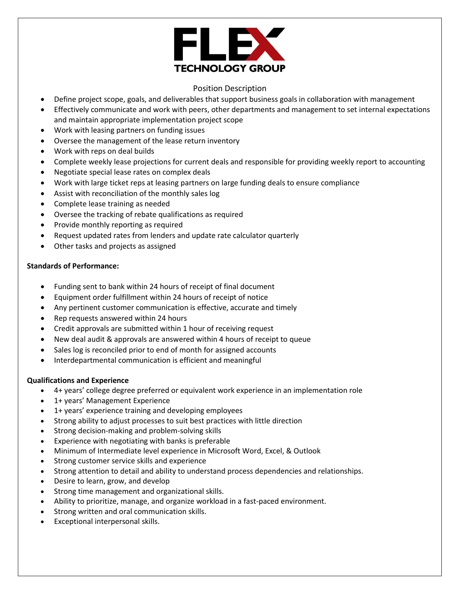

## Position Description

- Define project scope, goals, and deliverables that support business goals in collaboration with management
- Effectively communicate and work with peers, other departments and management to set internal expectations and maintain appropriate implementation project scope
- Work with leasing partners on funding issues
- Oversee the management of the lease return inventory
- Work with reps on deal builds
- Complete weekly lease projections for current deals and responsible for providing weekly report to accounting
- Negotiate special lease rates on complex deals
- Work with large ticket reps at leasing partners on large funding deals to ensure compliance
- Assist with reconciliation of the monthly sales log
- Complete lease training as needed
- Oversee the tracking of rebate qualifications as required
- Provide monthly reporting as required
- Request updated rates from lenders and update rate calculator quarterly
- Other tasks and projects as assigned

### **Standards of Performance:**

- Funding sent to bank within 24 hours of receipt of final document
- Equipment order fulfillment within 24 hours of receipt of notice
- Any pertinent customer communication is effective, accurate and timely
- Rep requests answered within 24 hours
- Credit approvals are submitted within 1 hour of receiving request
- New deal audit & approvals are answered within 4 hours of receipt to queue
- Sales log is reconciled prior to end of month for assigned accounts
- Interdepartmental communication is efficient and meaningful

#### **Qualifications and Experience**

- 4+ years' college degree preferred or equivalent work experience in an implementation role
- 1+ years' Management Experience
- 1+ years' experience training and developing employees
- Strong ability to adjust processes to suit best practices with little direction
- Strong decision-making and problem-solving skills
- Experience with negotiating with banks is preferable
- Minimum of Intermediate level experience in Microsoft Word, Excel, & Outlook
- Strong customer service skills and experience
- Strong attention to detail and ability to understand process dependencies and relationships.
- Desire to learn, grow, and develop
- Strong time management and organizational skills.
- Ability to prioritize, manage, and organize workload in a fast-paced environment.
- Strong written and oral communication skills.
- Exceptional interpersonal skills.